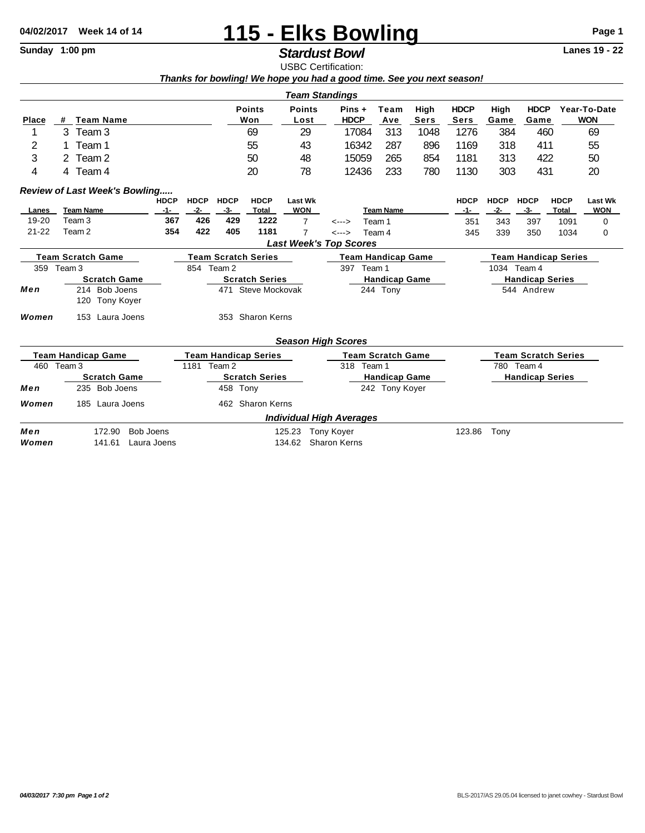## 04/02/2017 Week 14 of 14 **115 - Elks Bowling** Page 1<br>
Stardust Rowl Standay 1:00 pm

## $\overline{\text{S}}$ *Stardust Bowl*

USBC Certification: *Thanks for bowling! We hope you had a good time. See you next season!*

|                           |                                                        |                |                            |                             |                       |                                 | <b>Team Standings</b> |                                    |        |                            |                        |                             |             |                            |                |  |
|---------------------------|--------------------------------------------------------|----------------|----------------------------|-----------------------------|-----------------------|---------------------------------|-----------------------|------------------------------------|--------|----------------------------|------------------------|-----------------------------|-------------|----------------------------|----------------|--|
| <b>Place</b>              | <b>Team Name</b><br>#                                  |                | <b>Points</b><br>Won       |                             | <b>Points</b><br>Lost | $Pins +$<br><b>HDCP</b>         |                       | High<br>Team<br><b>Sers</b><br>Ave |        | <b>HDCP</b><br><b>Sers</b> | High<br>Game           | <b>HDCP</b><br>Game         |             | Year-To-Date<br><b>WON</b> |                |  |
| 1                         | Team 3<br>3                                            |                |                            | 69                          |                       | 29                              |                       | 313<br>17084                       |        | 1048                       | 1276                   | 384                         | 460         |                            | 69             |  |
| 2                         | Team 1                                                 |                |                            | 55                          |                       | 43                              |                       | 287<br>16342                       |        | 896                        | 1169                   | 318                         | 411         |                            | 55             |  |
| 3                         | Team 2                                                 |                |                            | 50                          |                       | 48                              |                       | 265<br>15059                       |        | 854                        | 1181                   | 313                         | 422         |                            | 50             |  |
| 4                         | 4 Team 4                                               |                |                            | 20                          |                       | 78                              |                       | 12436<br>233<br>780                |        | 1130                       | 303                    | 431                         |             | 20                         |                |  |
|                           | <b>Review of Last Week's Bowling</b>                   |                |                            |                             |                       |                                 |                       |                                    |        |                            |                        |                             |             |                            |                |  |
|                           |                                                        | <b>HDCP</b>    | <b>HDCP</b>                | <b>HDCP</b>                 | <b>HDCP</b>           | <b>Last Wk</b>                  |                       |                                    |        |                            | <b>HDCP</b>            | <b>HDCP</b>                 | <b>HDCP</b> | <b>HDCP</b>                | <b>Last Wk</b> |  |
| Lanes                     | <b>Team Name</b>                                       | $-1-$          | $-2-$                      | $-3-$                       | Total                 | <b>WON</b>                      |                       | <b>Team Name</b>                   |        |                            | $-1-$                  | $-2-$                       | $-3-$       | Total                      | <b>WON</b>     |  |
| 19-20                     | Team <sub>3</sub>                                      | 367            | 426                        | 429                         | 1222                  | $\overline{7}$                  | $\leftarrow$ --->     | Team 1                             |        | 351                        | 343                    | 397                         | 1091        | 0                          |                |  |
| $21 - 22$                 | Team <sub>2</sub>                                      | 354            | 422                        | 405                         | 1181                  | $\overline{7}$                  | $\leftarrow$          |                                    | Team 4 |                            | 345                    | 339                         | 350         | 1034                       | 0              |  |
|                           |                                                        |                |                            |                             |                       | <b>Last Week's Top Scores</b>   |                       |                                    |        |                            |                        |                             |             |                            |                |  |
|                           | <b>Team Scratch Game</b>                               |                | <b>Team Scratch Series</b> |                             |                       |                                 |                       | <b>Team Handicap Game</b>          |        |                            |                        | <b>Team Handicap Series</b> |             |                            |                |  |
| 359 Team 3                |                                                        |                | 854 Team 2                 |                             |                       |                                 |                       | 397 Team 1                         |        |                            |                        | 1034 Team 4                 |             |                            |                |  |
|                           | <b>Scratch Game</b>                                    |                |                            | <b>Scratch Series</b>       |                       |                                 |                       | <b>Handicap Game</b>               |        |                            |                        | <b>Handicap Series</b>      |             |                            |                |  |
| Men                       | 214 Bob Joens<br>120<br><b>Tony Koyer</b>              |                |                            | 471                         | Steve Mockovak        |                                 |                       | 244 Tony                           |        |                            |                        |                             | 544 Andrew  |                            |                |  |
| Women                     | Laura Joens<br>153                                     |                | 353 Sharon Kerns           |                             |                       |                                 |                       |                                    |        |                            |                        |                             |             |                            |                |  |
|                           |                                                        |                |                            |                             |                       | <b>Season High Scores</b>       |                       |                                    |        |                            |                        |                             |             |                            |                |  |
| <b>Team Handicap Game</b> |                                                        |                |                            | <b>Team Handicap Series</b> |                       | <b>Team Scratch Game</b>        |                       |                                    |        | <b>Team Scratch Series</b> |                        |                             |             |                            |                |  |
| 460<br>Team 3             |                                                        | 1181<br>Team 2 |                            |                             |                       |                                 | 318<br>Team 1         |                                    |        |                            |                        | 780 Team 4                  |             |                            |                |  |
|                           | <b>Scratch Game</b>                                    |                | <b>Scratch Series</b>      |                             |                       |                                 | <b>Handicap Game</b>  |                                    |        |                            | <b>Handicap Series</b> |                             |             |                            |                |  |
| Men                       | 235 Bob Joens                                          |                |                            | 458 Tony                    |                       |                                 | 242 Tony Koyer        |                                    |        |                            |                        |                             |             |                            |                |  |
| Women                     | Laura Joens<br>185                                     |                |                            |                             | 462 Sharon Kerns      |                                 |                       |                                    |        |                            |                        |                             |             |                            |                |  |
|                           |                                                        |                |                            |                             |                       | <b>Individual High Averages</b> |                       |                                    |        |                            |                        |                             |             |                            |                |  |
| Men                       | <b>Bob Joens</b><br>172.90<br>125.23                   |                |                            |                             |                       |                                 | <b>Tony Koyer</b>     | 123.86                             |        |                            |                        | Tony                        |             |                            |                |  |
| Women                     | <b>Sharon Kerns</b><br>141.61<br>Laura Joens<br>134.62 |                |                            |                             |                       |                                 |                       |                                    |        |                            |                        |                             |             |                            |                |  |